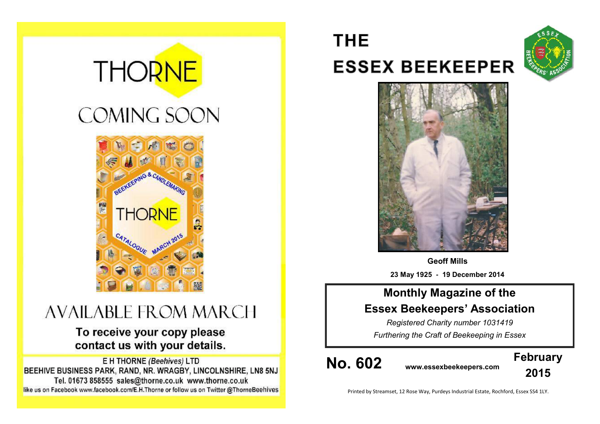# **THORNE**

# **COMING SOON**



# **AVAILABLE FROM MARCH**

# To receive your copy please contact us with your details.

E H THORNE (Beehives) LTD BEEHIVE BUSINESS PARK, RAND, NR. WRAGBY, LINCOLNSHIRE, LN8 5NJ Tel. 01673 858555 sales@thorne.co.uk www.thorne.co.uk like us on Facebook www.facebook.com/E.H.Thorne or follow us on Twitter @ThorneBeehives

# **THE ESSEX BEEKEEPER**





**Geoff Mills 23 May 1925 - 19 December 2014**

# **Monthly Magazine of the Essex Beekeepers' Association**

*Registered Charity number 1031419 Furthering the Craft of Beekeeping in Essex*

**No. 602 www.essexbeekeepers.com**



Printed by Streamset, 12 Rose Way, Purdeys Industrial Estate, Rochford, Essex SS4 1LY.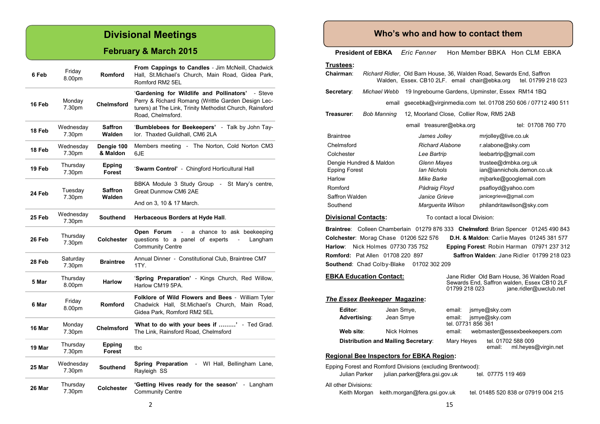# **Divisional Meetings**

## **February & March 2015**

| 6 Feb  | Friday<br>8.00pm    | Romford                  | <b>From Cappings to Candles - Jim McNeill, Chadwick</b><br>Hall, St. Michael's Church, Main Road, Gidea Park,<br>Romford RM2 5EL                                                           |  |
|--------|---------------------|--------------------------|--------------------------------------------------------------------------------------------------------------------------------------------------------------------------------------------|--|
| 16 Feb | Monday<br>7.30pm    | <b>Chelmsford</b>        | 'Gardening for Wildlife and Pollinators'<br>- Steve<br>Perry & Richard Romang (Writtle Garden Design Lec-<br>turers) at The Link, Trinity Methodist Church, Rainsford<br>Road, Chelmsford. |  |
| 18 Feb | Wednesday<br>7.30pm | <b>Saffron</b><br>Walden | 'Bumblebees for Beekeepers' - Talk by John Tay-<br>lor. Thaxted Guildhall, CM6 2LA                                                                                                         |  |
| 18 Feb | Wednesday<br>7.30pm | Dengie 100<br>& Maldon   | Members meeting - The Norton, Cold Norton CM3<br>6JE                                                                                                                                       |  |
| 19 Feb | Thursday<br>7.30pm  | Epping<br>Forest         | 'Swarm Control' - Chingford Horticultural Hall                                                                                                                                             |  |
| 24 Feb | Tuesday<br>7.30pm   | <b>Saffron</b><br>Walden | BBKA Module 3 Study Group - St Mary's centre,<br>Great Dunmow CM6 2AE                                                                                                                      |  |
| 25 Feb | Wednesday<br>7.30pm | <b>Southend</b>          | And on 3, 10 & 17 March.<br>Herbaceous Borders at Hyde Hall.                                                                                                                               |  |
| 26 Feb | Thursday<br>7.30pm  | <b>Colchester</b>        | Open Forum<br>a chance to ask beekeeping<br>questions to a panel of experts<br>Langham<br><b>Community Centre</b>                                                                          |  |
| 28 Feb | Saturday<br>7.30pm  | <b>Braintree</b>         | Annual Dinner - Constitutional Club, Braintree CM7<br>1TY.                                                                                                                                 |  |
| 5 Mar  | Thursday<br>8.00pm  | <b>Harlow</b>            | 'Spring Preparation' - Kings Church, Red Willow,<br>Harlow CM19 5PA.                                                                                                                       |  |
| 6 Mar  | Friday<br>8.00pm    | <b>Romford</b>           | Folklore of Wild Flowers and Bees - William Tyler<br>Chadwick Hall, St.Michael's Church, Main Road,<br>Gidea Park, Romford RM2 5EL                                                         |  |
| 16 Mar | Monday<br>7.30pm    | <b>Chelmsford</b>        | 'What to do with your bees if ' - Ted Grad.<br>The Link, Rainsford Road, Chelmsford                                                                                                        |  |
| 19 Mar | Thursday<br>7.30pm  | Epping<br>Forest         | tbc                                                                                                                                                                                        |  |
| 25 Mar | Wednesday<br>7.30pm | <b>Southend</b>          | <b>Spring Preparation</b><br>$\mathcal{L}^{\text{max}}$<br>WI Hall, Bellingham Lane,<br>Rayleigh SS                                                                                        |  |
| 26 Mar | Thursday<br>7.30pm  | <b>Colchester</b>        | 'Getting Hives ready for the season' - Langham<br>Community Centre                                                                                                                         |  |

### **Who's who and how to contact them**

**President of EBKA** *Eric Fenner* Hon Member BBKA Hon CLM EBKA

**Trustees:**

| <u></u>                                                                                                                            |                                            |                                               |                                                                                                                                      |                                                                                             |  |  |  |
|------------------------------------------------------------------------------------------------------------------------------------|--------------------------------------------|-----------------------------------------------|--------------------------------------------------------------------------------------------------------------------------------------|---------------------------------------------------------------------------------------------|--|--|--|
| Chairman∶                                                                                                                          |                                            | Walden, Essex. CB10 2LF. email chair@ebka.org |                                                                                                                                      | Richard Ridler, Old Barn House, 36, Walden Road, Sewards End, Saffron<br>tel. 01799 218 023 |  |  |  |
| Secretary:                                                                                                                         | Michael Webb                               |                                               |                                                                                                                                      | 19 Ingrebourne Gardens, Upminster, Essex RM14 1BQ                                           |  |  |  |
|                                                                                                                                    | email                                      |                                               |                                                                                                                                      | gsecebka@virginmedia.com tel. 01708 250 606 / 07712 490 511                                 |  |  |  |
| Treasurer:                                                                                                                         | Bob Manning                                | 12, Moorland Close, Collier Row, RM5 2AB      |                                                                                                                                      |                                                                                             |  |  |  |
|                                                                                                                                    |                                            | email treasurer@ebka.org                      |                                                                                                                                      | tel: 01708 760 770                                                                          |  |  |  |
| <b>Braintree</b>                                                                                                                   |                                            | James Jolley                                  |                                                                                                                                      | mrjolley@live.co.uk                                                                         |  |  |  |
| Chelmsford<br><b>Richard Alabone</b>                                                                                               |                                            |                                               | r.alabone@sky.com                                                                                                                    |                                                                                             |  |  |  |
| Colchester<br>Lee Bartrip                                                                                                          |                                            |                                               |                                                                                                                                      | leebartrip@gmail.com                                                                        |  |  |  |
| <b>Epping Forest</b>                                                                                                               | Dengie Hundred & Maldon                    | <b>Glenn Mayes</b><br><b>Ian Nichols</b>      |                                                                                                                                      | trustee@dmbka.org.uk<br>ian@iannichols.demon.co.uk                                          |  |  |  |
| Mike Barke<br>Harlow                                                                                                               |                                            |                                               |                                                                                                                                      | mjbarke@googlemail.com                                                                      |  |  |  |
| Romford<br>Pádraig Floyd                                                                                                           |                                            |                                               |                                                                                                                                      | psafloyd@yahoo.com                                                                          |  |  |  |
| Saffron Walden<br>Janice Grieve                                                                                                    |                                            |                                               |                                                                                                                                      | janicegrieve@gmail.com                                                                      |  |  |  |
| Southend                                                                                                                           |                                            | Marquerita Wilson                             |                                                                                                                                      | philandritawilson@sky.com                                                                   |  |  |  |
| <b>Divisional Contacts:</b><br>To contact a local Division:                                                                        |                                            |                                               |                                                                                                                                      |                                                                                             |  |  |  |
|                                                                                                                                    |                                            |                                               |                                                                                                                                      | <b>Braintree:</b> Colleen Chamberlain 01279 876 333 Chelmsford: Brian Spencer 01245 490 843 |  |  |  |
|                                                                                                                                    | Colchester: Morag Chase 01206 522 576      |                                               |                                                                                                                                      | D.H. & Maldon: Carlie Mayes 01245 381 577                                                   |  |  |  |
| Harlow:                                                                                                                            | Nick Holmes 07730 735 752                  |                                               |                                                                                                                                      | Epping Forest: Robin Harman 07971 237 312                                                   |  |  |  |
|                                                                                                                                    | <b>Romford: Pat Allen 01708 220 897</b>    |                                               |                                                                                                                                      | Saffron Walden: Jane Ridler 01799 218 023                                                   |  |  |  |
| <b>Southend: Chad Colby-Blake</b><br>01702 302 209                                                                                 |                                            |                                               |                                                                                                                                      |                                                                                             |  |  |  |
|                                                                                                                                    | <b>EBKA Education Contact:</b>             |                                               | Jane Ridler Old Barn House, 36 Walden Road<br>Sewards End, Saffron walden, Essex CB10 2LF<br>01799 218 023<br>jane.ridler@uwclub.net |                                                                                             |  |  |  |
|                                                                                                                                    | <b>The Essex Beekeeper Magazine:</b>       |                                               |                                                                                                                                      |                                                                                             |  |  |  |
| Editor:                                                                                                                            | Jean Smye,                                 |                                               | email:                                                                                                                               | jsmye@sky.com                                                                               |  |  |  |
| Advertising:                                                                                                                       | Jean Smye                                  |                                               | jsmye@sky.com<br>email:<br>tel. 07731 856 361                                                                                        |                                                                                             |  |  |  |
| Web site:<br>Nick Holmes                                                                                                           |                                            | email:                                        | webmaster@essexbeekeepers.com                                                                                                        |                                                                                             |  |  |  |
|                                                                                                                                    | <b>Distribution and Mailing Secretary:</b> |                                               | Mary Heyes                                                                                                                           | tel. 01702 588 009<br>ml.heyes@virgin.net<br>email:                                         |  |  |  |
| <b>Regional Bee Inspectors for EBKA Region:</b>                                                                                    |                                            |                                               |                                                                                                                                      |                                                                                             |  |  |  |
| Epping Forest and Romford Divisions (excluding Brentwood):<br>Julian Parker<br>julian.parker@fera.gsi.gov.uk<br>tel. 07775 119 469 |                                            |                                               |                                                                                                                                      |                                                                                             |  |  |  |
|                                                                                                                                    |                                            |                                               |                                                                                                                                      |                                                                                             |  |  |  |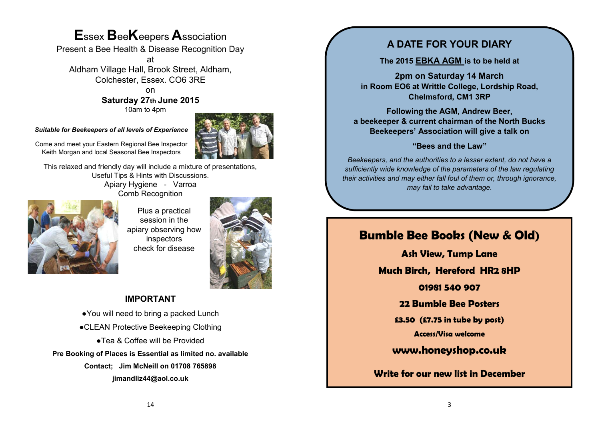# **E**ssex **B**ee**K**eepers **A**ssociation

Present a Bee Health & Disease Recognition Day

at Aldham Village Hall, Brook Street, Aldham, Colchester, Essex. CO6 3RE

on

**Saturday 27th June 2015** 10am to 4pm

*Suitable for Beekeepers of all levels of Experience*



Come and meet your Eastern Regional Bee Inspector Keith Morgan and local Seasonal Bee Inspectors

This relaxed and friendly day will include a mixture of presentations, Useful Tips & Hints with Discussions. Apiary Hygiene - Varroa Comb Recognition



Plus a practical session in the apiary observing how inspectors check for disease



#### **IMPORTANT**

●You will need to bring a packed Lunch ●CLEAN Protective Beekeeping Clothing ●Tea & Coffee will be Provided **Pre Booking of Places is Essential as limited no. available Contact; Jim McNeill on 01708 765898 jimandliz44@aol.co.uk**

## **A DATE FOR YOUR DIARY**

**The 2015 EBKA AGM is to be held at**

**2pm on Saturday 14 March in Room EO6 at Writtle College, Lordship Road, Chelmsford, CM1 3RP**

**Following the AGM, Andrew Beer, a beekeeper & current chairman of the North Bucks Beekeepers' Association will give a talk on** 

#### **"Bees and the Law"**

*Beekeepers, and the authorities to a lesser extent, do not have a sufficiently wide knowledge of the parameters of the law regulating their activities and may either fall foul of them or, through ignorance, may fail to take advantage.*

# **Bumble Bee Books (New & Old)**

**Ash View, Tump Lane**

**Much Birch, Hereford HR2 8HP**

**01981 540 907**

**22 Bumble Bee Posters**

**£3.50 (£7.75 in tube by post)**

**Access/Visa welcome**

**[www.honeyshop.co.uk](http://www.honeyshop.co.uk)**

**Write for our new list in December**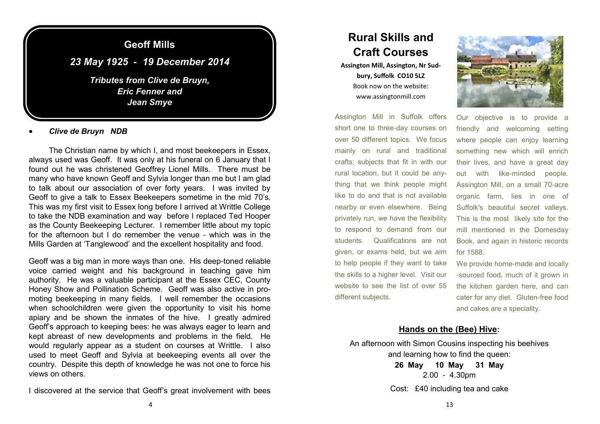

*Clive de Bruyn NDB*

The Christian name by which I, and most beekeepers in Essex, always used was Geoff. It was only at his funeral on 6 January that I found out he was christened Geoffrey Lionel Mills. There must be many who have known Geoff and Sylvia longer than me but I am glad to talk about our association of over forty years. I was invited by Geoff to give a talk to Essex Beekeepers sometime in the mid 70's. This was my first visit to Essex long before I arrived at Writtle College to take the NDB examination and way before I replaced Ted Hooper as the County Beekeeping Lecturer. I remember little about my topic for the afternoon but I do remember the venue - which was in the Mills Garden at 'Tanglewood' and the excellent hospitality and food.

Geoff was a big man in more ways than one. His deep-toned reliable voice carried weight and his background in teaching gave him authority. He was a valuable participant at the Essex CEC, County Honey Show and Pollination Scheme. Geoff was also active in promoting beekeeping in many fields. I well remember the occasions when schoolchildren were given the opportunity to visit his home apiary and be shown the inmates of the hive. I greatly admired Geoff's approach to keeping bees: he was always eager to learn and kept abreast of new developments and problems in the field. He would regularly appear as a student on courses at Writtle. I also used to meet Geoff and Sylvia at beekeeping events all over the country. Despite this depth of knowledge he was not one to force his views on others.

I discovered at the service that Geoff's great involvement with bees

# **Rural Skills and Craft Courses**

**Assington Mill, Assington, Nr Sudbury, Suffolk CO10 5LZ** Book now on the website: www.assingtonmill.com

Assington Mill in Suffolk offers short one to three-day courses on over 50 different topics. We focus mainly on rural and traditional crafts; subjects that fit in with our rural location, but it could be anything that we think people might like to do and that is not available nearby or even elsewhere. Being privately run, we have the flexibility to respond to demand from our students. Qualifications are not given, or exams held, but we aim to help people if they want to take the skills to a higher level. Visit our website to see the list of over 55 different subjects.



Our objective is to provide a friendly and welcoming setting where people can enjoy learning something new which will enrich their lives, and have a great day out with like-minded people. Assington Mill, on a small 70-acre organic farm, lies in one of Suffolk's beautiful secret valleys. This is the most likely site for the mill mentioned in the Domesday Book, and again in historic records for 1588.

We provide home-made and locally -sourced food, much of it grown in the kitchen garden here, and can cater for any diet. Gluten-free food and cakes are a speciality.

#### **Hands on the (Bee) Hive:**

An afternoon with Simon Cousins inspecting his beehives and learning how to find the queen:

**26 May 10 May 31 May** 2.00 - 4.30pm Cost: £40 including tea and cake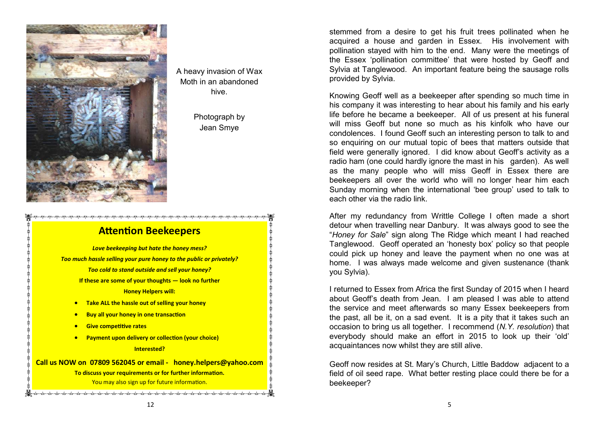

A heavy invasion of Wax Moth in an abandoned hive.

> Photograph by Jean Smye

## **Attention Beekeepers**

*Love beekeeping but hate the honey mess? Too much hassle selling your pure honey to the public or privately? Too cold to stand outside and sell your honey?* **If these are some of your thoughts — look no further Honey Helpers will: Take ALL the hassle out of selling your honey Buy all your honey in one transaction Give competitive rates Payment upon delivery or collection (your choice) Interested? Call us NOW on 07809 562045 or email - [honey.helpers@yahoo.com](mailto:honey.helpers@yahoo.com) To discuss your requirements or for further information.**  You may also sign up for future information. is the dirt dirty dirty dirty dirty dirty dirty dirty dirty dirty dirty dirty dirty dirty dirty dirty dirty dirty

stemmed from a desire to get his fruit trees pollinated when he acquired a house and garden in Essex. His involvement with pollination stayed with him to the end. Many were the meetings of the Essex 'pollination committee' that were hosted by Geoff and Sylvia at Tanglewood. An important feature being the sausage rolls provided by Sylvia.

Knowing Geoff well as a beekeeper after spending so much time in his company it was interesting to hear about his family and his early life before he became a beekeeper. All of us present at his funeral will miss Geoff but none so much as his kinfolk who have our condolences. I found Geoff such an interesting person to talk to and so enquiring on our mutual topic of bees that matters outside that field were generally ignored. I did know about Geoff's activity as a radio ham (one could hardly ignore the mast in his garden). As well as the many people who will miss Geoff in Essex there are beekeepers all over the world who will no longer hear him each Sunday morning when the international 'bee group' used to talk to each other via the radio link.

After my redundancy from Writtle College I often made a short detour when travelling near Danbury. It was always good to see the "*Honey for Sale*" sign along The Ridge which meant I had reached Tanglewood. Geoff operated an 'honesty box' policy so that people could pick up honey and leave the payment when no one was at home. I was always made welcome and given sustenance (thank you Sylvia).

I returned to Essex from Africa the first Sunday of 2015 when I heard about Geoff's death from Jean. I am pleased I was able to attend the service and meet afterwards so many Essex beekeepers from the past, all be it, on a sad event. It is a pity that it takes such an occasion to bring us all together. I recommend (*N.Y. resolution*) that everybody should make an effort in 2015 to look up their 'old' acquaintances now whilst they are still alive.

Geoff now resides at St. Mary's Church, Little Baddow adjacent to a field of oil seed rape. What better resting place could there be for a beekeeper?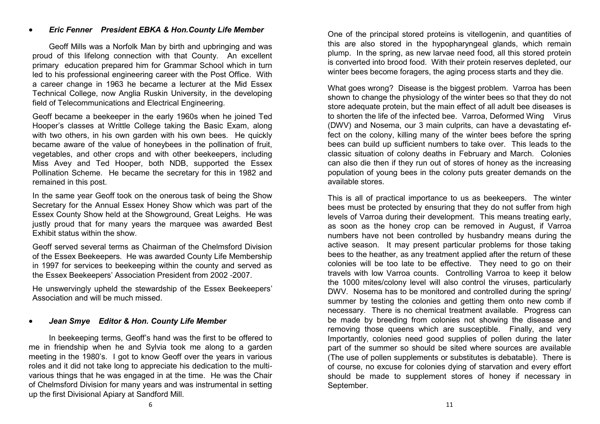#### *Eric Fenner President EBKA & Hon.County Life Member*

Geoff Mills was a Norfolk Man by birth and upbringing and was proud of this lifelong connection with that County. An excellent primary education prepared him for Grammar School which in turn led to his professional engineering career with the Post Office. With a career change in 1963 he became a lecturer at the Mid Essex Technical College, now Anglia Ruskin University, in the developing field of Telecommunications and Electrical Engineering.

Geoff became a beekeeper in the early 1960s when he joined Ted Hooper's classes at Writtle College taking the Basic Exam, along with two others, in his own garden with his own bees. He quickly became aware of the value of honeybees in the pollination of fruit, vegetables, and other crops and with other beekeepers, including Miss Avey and Ted Hooper, both NDB, supported the Essex Pollination Scheme. He became the secretary for this in 1982 and remained in this post.

In the same year Geoff took on the onerous task of being the Show Secretary for the Annual Essex Honey Show which was part of the Essex County Show held at the Showground, Great Leighs. He was justly proud that for many years the marquee was awarded Best Exhibit status within the show.

Geoff served several terms as Chairman of the Chelmsford Division of the Essex Beekeepers. He was awarded County Life Membership in 1997 for services to beekeeping within the county and served as the Essex Beekeepers' Association President from 2002 -2007.

He unswervingly upheld the stewardship of the Essex Beekeepers' Association and will be much missed.

#### *Jean Smye Editor & Hon. County Life Member*

In beekeeping terms, Geoff's hand was the first to be offered to me in friendship when he and Sylvia took me along to a garden meeting in the 1980's. I got to know Geoff over the years in various roles and it did not take long to appreciate his dedication to the multivarious things that he was engaged in at the time. He was the Chair of Chelmsford Division for many years and was instrumental in setting up the first Divisional Apiary at Sandford Mill.

One of the principal stored proteins is vitellogenin, and quantities of this are also stored in the hypopharyngeal glands, which remain plump. In the spring, as new larvae need food, all this stored protein is converted into brood food. With their protein reserves depleted, our winter bees become foragers, the aging process starts and they die.

What goes wrong? Disease is the biggest problem. Varroa has been shown to change the physiology of the winter bees so that they do not store adequate protein, but the main effect of all adult bee diseases is to shorten the life of the infected bee. Varroa, Deformed Wing Virus (DWV) and Nosema, our 3 main culprits, can have a devastating effect on the colony, killing many of the winter bees before the spring bees can build up sufficient numbers to take over. This leads to the classic situation of colony deaths in February and March. Colonies can also die then if they run out of stores of honey as the increasing population of young bees in the colony puts greater demands on the available stores.

This is all of practical importance to us as beekeepers. The winter bees must be protected by ensuring that they do not suffer from high levels of Varroa during their development. This means treating early, as soon as the honey crop can be removed in August, if Varroa numbers have not been controlled by husbandry means during the active season. It may present particular problems for those taking bees to the heather, as any treatment applied after the return of these colonies will be too late to be effective. They need to go on their travels with low Varroa counts. Controlling Varroa to keep it below the 1000 mites/colony level will also control the viruses, particularly DWV. Nosema has to be monitored and controlled during the spring/ summer by testing the colonies and getting them onto new comb if necessary. There is no chemical treatment available. Progress can be made by breeding from colonies not showing the disease and removing those queens which are susceptible. Finally, and very Importantly, colonies need good supplies of pollen during the later part of the summer so should be sited where sources are available (The use of pollen supplements or substitutes is debatable). There is of course, no excuse for colonies dying of starvation and every effort should be made to supplement stores of honey if necessary in September.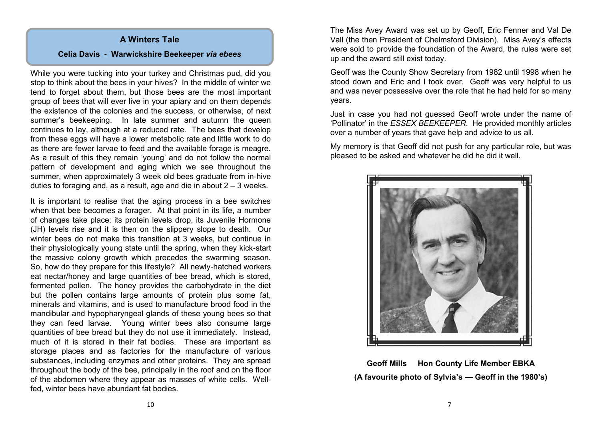#### **A Winters Tale**

#### **Celia Davis - Warwickshire Beekeeper** *via ebees*

While you were tucking into your turkey and Christmas pud, did you stop to think about the bees in your hives? In the middle of winter we tend to forget about them, but those bees are the most important group of bees that will ever live in your apiary and on them depends the existence of the colonies and the success, or otherwise, of next summer's beekeeping. In late summer and autumn the queen continues to lay, although at a reduced rate. The bees that develop from these eggs will have a lower metabolic rate and little work to do as there are fewer larvae to feed and the available forage is meagre. As a result of this they remain 'young' and do not follow the normal pattern of development and aging which we see throughout the summer, when approximately 3 week old bees graduate from in-hive duties to foraging and, as a result, age and die in about 2 – 3 weeks.

It is important to realise that the aging process in a bee switches when that bee becomes a forager. At that point in its life, a number of changes take place: its protein levels drop, its Juvenile Hormone (JH) levels rise and it is then on the slippery slope to death. Our winter bees do not make this transition at 3 weeks, but continue in their physiologically young state until the spring, when they kick-start the massive colony growth which precedes the swarming season. So, how do they prepare for this lifestyle? All newly-hatched workers eat nectar/honey and large quantities of bee bread, which is stored, fermented pollen. The honey provides the carbohydrate in the diet but the pollen contains large amounts of protein plus some fat, minerals and vitamins, and is used to manufacture brood food in the mandibular and hypopharyngeal glands of these young bees so that they can feed larvae. Young winter bees also consume large quantities of bee bread but they do not use it immediately. Instead, much of it is stored in their fat bodies. These are important as storage places and as factories for the manufacture of various substances, including enzymes and other proteins. They are spread throughout the body of the bee, principally in the roof and on the floor of the abdomen where they appear as masses of white cells. Wellfed, winter bees have abundant fat bodies.

The Miss Avey Award was set up by Geoff, Eric Fenner and Val De Vall (the then President of Chelmsford Division). Miss Avey's effects were sold to provide the foundation of the Award, the rules were set up and the award still exist today.

Geoff was the County Show Secretary from 1982 until 1998 when he stood down and Eric and I took over. Geoff was very helpful to us and was never possessive over the role that he had held for so many years.

Just in case you had not guessed Geoff wrote under the name of 'Pollinator' in the *ESSEX BEEKEEPER*. He provided monthly articles over a number of years that gave help and advice to us all.

My memory is that Geoff did not push for any particular role, but was pleased to be asked and whatever he did he did it well.



**Geoff Mills Hon County Life Member EBKA (A favourite photo of Sylvia's — Geoff in the 1980's)**